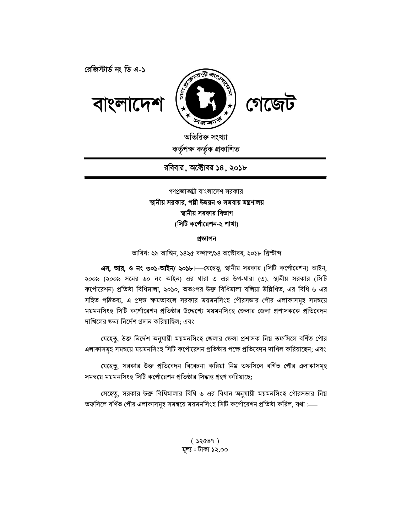



অতিরিক্ত সংখ্যা কৰ্তৃপক্ষ কৰ্তৃক প্ৰকাশিত

রবিবার, অক্টোবর ১৪, ২০১৮

গণপ্রজাতন্ত্রী বাংলাদেশ সরকার স্থানীয় সরকার, পল্লী উন্নয়ন ও সমবায় মন্ত্রণালয় স্থানীয় সরকার বিভাগ (সিটি কর্পোরেশন-২ শাখা)

### প্ৰজ্ঞাপন

তারিখ: ২৯ আশ্বিন, ১৪২৫ বঙ্গাব্দ/১৪ অক্টোবর, ২০১৮ খ্রিস্টাব্দ

এস, আর, ও নং ৩০১-আইন/ ২০১৮।—যেহেতু, স্থানীয় সরকার (সিটি কর্পোরেশন) আইন, ২০০৯ (২০০৯ সনের ৬০ নং আইন) এর ধারা ৩ এর উপ-ধারা (৩), স্থানীয় সরকার (সিটি কর্পোরেশন) প্রতিষ্ঠা বিধিমালা, ২০১০, অতঃপর উক্ত বিধিমালা বলিয়া উল্লিখিত, এর বিধি ৬ এর সহিত পঠিতব্য, এ প্রদত্ত ক্ষমতাবলে সরকার ময়মনসিংহ পৌরসভার পৌর এলাকাসমহ সমন্বয়ে ময়মনসিংহ সিটি কর্পোরেশন প্রতিষ্ঠার উদ্দেশ্যে ময়মনসিংহ জেলার জেলা প্রশাসককে প্রতিবেদন দাখিলের জন্য নির্দেশ প্রদান করিয়াছিল; এবং

যেহেতু, উক্ত নির্দেশ অনুযায়ী ময়মনসিংহ জেলার জেলা প্রশাসক নিয় তফসিলে বর্ণিত পৌর এলাকাসমূহ সমন্বয়ে ময়মনসিংহ সিটি কর্পোরেশন প্রতিষ্ঠার পক্ষে প্রতিবেদন দাখিল করিয়াছেন; এবং

যেহেতু, সরকার উক্ত প্রতিবেদন বিবেচনা করিয়া নিম্ন তফসিলে বর্ণিত পৌর এলাকাসমূহ সমন্বয়ে ময়মনসিংহ সিটি কর্পোরেশন প্রতিষ্ঠার সিদ্ধান্ত গ্রহণ করিয়াছে;

সেহেতু, সরকার উক্ত বিধিমালার বিধি ৬ এর বিধান অনুযায়ী ময়মনসিংহ পৌরসভার নিয় তফসিলে বর্ণিত পৌর এলাকাসমূহ সমন্বয়ে ময়মনসিংহ সিটি কর্পোরেশন প্রতিষ্ঠা করিল, যথা :—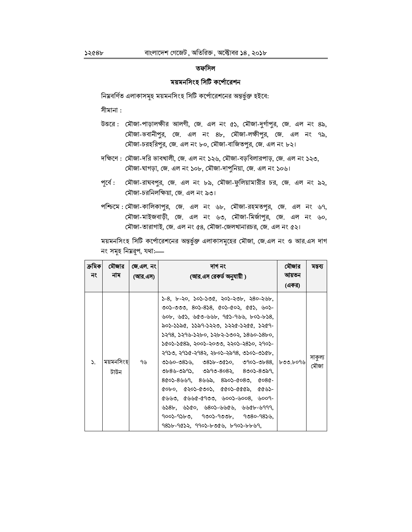### তফসিল

### ময়মনসিংহ সিটি কর্পোরেশন

নিয়বর্ণিত এলাকাসমূহ ময়মনসিংহ সিটি কর্পোরেশনের অন্তর্ভুক্ত হইবে:

সীমানা :

- উত্তরে: মৌজা-পাড়ালক্ষীর আলগী, জে. এল নং ৫১, মৌজা-দুর্গাপুর, জে. এল নং ৪৯, মৌজা-ভবানীপুর, জে. এল নং ৪৮, মৌজা-লক্ষীপুর, জে. এল নং ৭৯, মৌজা-চরহরিপুর, জে. এল নং ৮০, মৌজা-বাজিতপুর, জে. এল নং ৮২।
- দক্ষিণে : মৌজা-দরি ভাবখালী, জে. এল নং ১২৬, মৌজা-বড়বিলারপাড়, জে. এল নং ১২৩, মৌজা-ঘাগড়া, জে. এল নং ১০৮, মৌজা-দাপুনিয়া, জে. এল নং ১০৬।
- মৌজা-রাঘবপুর, জে. এল নং ৮৯, মৌজা-ফুলিয়ামারীর চর, জে. এল নং ৯২, পূর্বে : মৌজা-চরনিলক্ষিয়া, জে. এল নং ৯৩।
- পশ্চিমে: মৌজা-কালিকাপুর, জে. এল নং ৬৮, মৌজা-রহমতপুর, জে. এল নং ৬৭, মৌজা-মাইজবাড়ী, জে. এল নং ৬৩, মৌজা-মির্জাপুর, জে. এল নং ৬০, মৌজা-তারাগাই, জে. এল নং ৫৪, মৌজা-জেলখানারচর, জে. এল নং ৫২।

ময়মনসিংহ সিটি কর্পোরেশনের অন্তর্ভুক্ত এলাকাসমূহের মৌজা, জে.এল নং ও আর.এস দাগ নং সমূহ নিম্নরূপ, যথা:-

| ক্ৰমিক <br>নং | মৌজার<br>নাম      | জে.এল. নং<br>(আর.এস) । | দাগ নং<br>(আর.এস রেকর্ড অনুযায়ী )                                                                                                                                                                                                                                                                                                                                                                                                                                                                                                                                                                                                                                                                                                                                                                                                                                                                                                                                    | মৌজার<br>আয়তন<br>(একর) | মন্তব্য         |
|---------------|-------------------|------------------------|-----------------------------------------------------------------------------------------------------------------------------------------------------------------------------------------------------------------------------------------------------------------------------------------------------------------------------------------------------------------------------------------------------------------------------------------------------------------------------------------------------------------------------------------------------------------------------------------------------------------------------------------------------------------------------------------------------------------------------------------------------------------------------------------------------------------------------------------------------------------------------------------------------------------------------------------------------------------------|-------------------------|-----------------|
| $\mathcal{L}$ | ময়মনসিংহ<br>টাউন | ৭৬                     | $5-8$ , b-২০, ১০১-১৩৫, ২০১-২৩৮, ২৪০-২৬৮,<br>৩০১-৩৩৩, ৪০১-৪১৪, ৫০১-৫০২, ৫৫১, ৬০১-<br>$\psi$ ob, $\psi$ Es, $\psi$ Eo- $\psi$ $\psi$ b, 9Es-9 $\psi$ b, bos-bs8,<br>৯০১-১১৯৫, ১১৯৭-১২২৩, ১২২৫-১২৫৫, ১২৫৭-<br>১২৭৪, ১২৭৬-১২৮০, ১২৮২-১৩০২, ১৪৬০-১৪৮০,<br>১৫০১-১৫৪৯, ২০০১-২০৩৩, ২২০১-২৪১০, ২৭০১-<br>২৭১৩, ২৭১৫-২৭৪২, ২৮০১-২৯৭৪, ৩১০১-৩১৫৮, ।<br>  ৩১৬০-৩৪১৬,   ৩৪১৮-৩৫১০,   ৩৭০১-৩৮৪৪,   ৮৩৩.৮০৭৬ <br>$0+8$ ৬-৩৯৭১, ৩৯৭৩-8০8২, 8৩০১-8৩৯৭,<br>$800$ ১-8৬৬9, 8৬৬৯, 8৯০১-008৩, 0080-<br>$\alpha$ obo, $\alpha$ ২০১-৫৩০১, $\alpha$ ৫০১-৫৫৫৯, ৫৫৬১-<br>$6400, 66666900, 60056008, 6009-$<br>$\frac{1}{28}$ $\frac{1}{28}$ $\frac{1}{28}$ $\frac{1}{28}$ $\frac{1}{28}$ $\frac{1}{28}$ $\frac{1}{28}$ $\frac{1}{28}$ $\frac{1}{28}$ $\frac{1}{28}$ $\frac{1}{28}$ $\frac{1}{28}$ $\frac{1}{28}$ $\frac{1}{28}$ $\frac{1}{28}$ $\frac{1}{28}$ $\frac{1}{28}$ $\frac{1}{28}$ $\frac{1}{28}$ $\frac{1}{28}$<br>900১-9১৮৩, 9৩0১-9৩৩৮, 9৩80-98১৬,<br>9856-9052, 9905-6006, 6905-6669, |                         | সাকুল্য<br>মৌজা |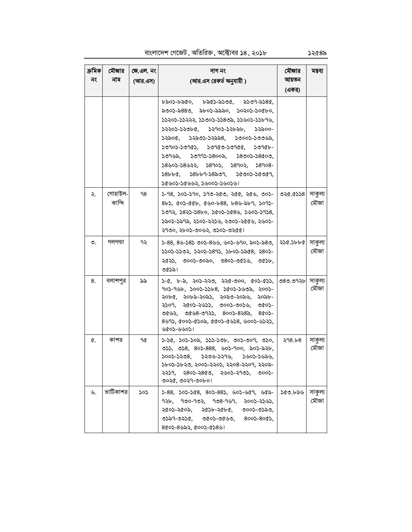বাংলাদেশ গেজেট, অতিরিক্ত, অক্টোবর ১৪, ২০১৮

ক্ৰমিক মৌজার জে.এল. নং দাগ নং মৌজার মন্তব্য আয়তন নং নাম (আর.এস) (আর.এস রেকর্ড অনুযায়ী) (একর)  $5509 - 5580.$ ৮৯০১-৮৯৫০. ৮৯৫১-৯১৩৫, ৯৩০১-৯৪৪৩, ৯৮০১-৯৯৯০, ১০২০১-১০৫৮০, ১১২০১-১১২২২, ১১৩০১-১১৪৩৯, ১১৬০১-১১৮৭৬, ১২২০১-১২৩৮৫, ১২৭০১-১২৮৯৮, ১২৯০০-১২৯০৫, ১২৯৩১-১২৯৯৪, ১৩০০১-১৩৩৬৯,  $50905 - 50965$ ,  $50960 - 50966$ ,  $50966 -$ ১৩৭৬৯,  $50995 - 5800$ a, ১৪৩০১-১৪৫০৩, ১৪৬০১-১৪৬২২, ১৪৭০১, ১৪৭০২, ১৪৭০৪- $58b$  $b$ c,  $58b$  $b$ 9- $5850$ 9, ১৫৩০১-১৫৩৫৭. ১৫৬০১-১৫৬৬২, ১৬০০১-১৬০১৬। গোহাইল  $020.0558$ সাকুল্য ২.  $98$ ১-98, ১০১-১90, ১90-২৫৩, ২৫৫, ২৫৬, ৩০১-কান্দি মৌজা  $8b3, 603-66b, 690-b88, b89-3b9, 5093-$ ১৩৭২, ১৪২১-১৪৮০, ১৫০১-১৫৪৬, ১৬০১-১৭১৪, ১৯০১-১৯৭৯, ২১০১-২২১৬, ২৩০১-২৫৫৬, ২৬০১-২৭৩০, ২৮০১-৩০৬২, ৩১০১-৩২৫৫। ৩. গলগন্ডা ৭২ ১-88, 8৬-১8১ ৩০১-8৬৬, ৬০১-৬৭০, ৯০১-৯৪৩, ২১৫.১৮৮৫ সাকুল্য মৌজা ১১০১-১১৩২, ১২০১-১৪৭১, ১৮০১-১৯৫৪, ২৪০১-২৫২১, ৩০০১-৩০৯০, ৩৪০১-৩৫১৬, ৩৫১৮, ৩৫১৯। বলাশপুর 8. ৯৯  $5-6, b-3, 205-220, 220-000, 005-055,$ ৩৪৩.৩৭২৮ সাকুল্য মৌজা 905-966, 5005-5568, 5005-5602, 2005-২০৮৫, ২০৮৯-২০৯১, ২০৯৩-২০৯৬, ২০৯৮-২১০৭, ২৫০১-২৬১১, ৩০০১-৩০১৬, ৩৫০১- $0692, 0698-0922, 8002-8282, 8002-$ 8495, 6005-6502, 6605-6458, 4005-4525, ৬৫০১-৬৬০১। কাশর সাকুল্য ¢. ٩¢  $5-56$ ,  $505-505$ ,  $555-505$ , 005-009, 050,  $298.58$ মৌজা  $0.55, 0.58, 80.588, 60.5400, 80.580$  $5005 - 5508$ ,  $5506 - 5596$ ,  $5605 - 5656$ , ১৮০১-১৮২৩, ২০০১-২২০১, ২২০৪-২২০৭, ২২০৯- $3359, 380$ -3809, 3609-3909, 9009-৩০২৫, ৩০২৭-৩০৮০। ভাটিকাশর সাকল্য ৬.  $505$  $5-88$ ,  $505-568$ ,  $805-885$ ,  $605-669$ ,  $665-$ ১৫৩.৮৯৬ মৌজা  $92b, 900 - 902, 908 - 909, 2003 - 2503,$ ২৫০১-২৫০৯, ২৫১৮-২৫৮৫, ৩০০১-৩১৯৩, ৩১৯৭-৩২১৫, ৩৫০১-৩৫৬৩, ৪০০১-৪০৫১,  $800$ - $8$ ৬৯২,  $000$ ১- $0.801$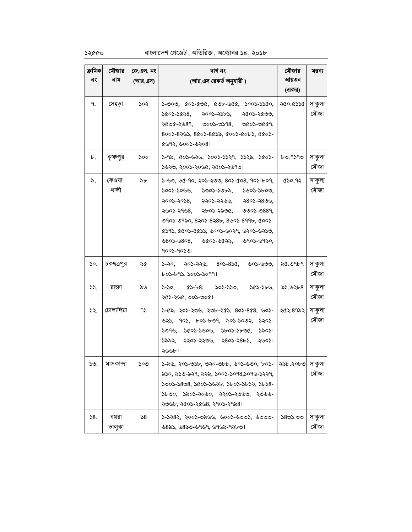# বাংলাদেশ গেজেট, অতিরিক্ত, অক্টোবর ১৪, ২০১৮

| ক্ৰমিক | মৌজার           | জে.এল. নং | দাগ নং                                                                                                                                                                                                                                                                                                    | মৌজার     | মন্তব্য         |
|--------|-----------------|-----------|-----------------------------------------------------------------------------------------------------------------------------------------------------------------------------------------------------------------------------------------------------------------------------------------------------------|-----------|-----------------|
| নং     | নাম             | (আর.এস)   | (আর.এস রেকর্ড অনুযায়ী )                                                                                                                                                                                                                                                                                  | আয়তন     |                 |
|        |                 |           |                                                                                                                                                                                                                                                                                                           | (একর)     |                 |
| ٩.     | সেহড়া          | ১০২       | $5 - 000, 005 - 000, 005 - 000, 0005 - 000,$<br>১৫০১-১৫৯৪,<br>২০০১-২১৮১, ২৫০১-২৫৩৩,<br>২৫৩৫-২৬৪৭, ৩০০১-৩১৭৪, ৩৫০১-৩৫৫৭,<br>800১-8২৬১, 8৫0১-8৫১৯, ৫00১-৫০৮১, ৫৫০১-<br>$(893, 600) - 6308$                                                                                                                  | ২৫০.৫১১৫  | সাকুল্য<br>মৌজা |
| ৮.     | কৃষ্ণপুর        | ১০০       | ১-৭৯, ৫০১-৬২৬, ১০০১-১১২৭, ১১২৯, ১৫০১-  <br>১৬২৩, ২০০১-২০৬৫, ২৫০১-২৬৭৩।                                                                                                                                                                                                                                    | ৮৩.৭১৭৩   | সাকুল্য<br>মৌজা |
| ৯.     | কেওয়া-<br>খালী | ৯৮        | ১-৬৩, ৬৫-৭০, ২০১-২৩৩, ৪০১-৫০৪, ৭০১-৮০৭,<br>১০০১-১০৬৬,<br>১৩০১-১৩৮৯, ১৬০১-১৮০৩,<br>২০০১-২০১৪,<br>২২০১-২২৬৬,<br>২৪০১-২৪৩৬.<br>২৬০১-২৭৬৪, ২৮০১-২৯৩৫, ৩৩০১-৩৪৪৭,<br>090১-0920, 820১-828৮, 8৬0১-899৮, ৫০০১-<br>৫১৭১, ৫৫০১-৫৫১১, ৬০০১-৬০২৭, ৬২০১-৬২১৩,<br>$680$ 2-6808, 6602-6622, 6902-6920,<br>$9005 - 90501$ | ৫১০.৭২    | সাকুল্য<br>মৌজা |
| 50.    | চকছত্রপুর       | ৯৫        | ১-২০, ২০১-২২৬, ৪০১-৪১৫, ৬০১-৬৩৩,<br>৮০১-৮৭১, ১০০১-১০৭৭।                                                                                                                                                                                                                                                   | ৯৫.৩৭৮৭   | সাকুল্য<br>মৌজা |
| 55.    | রাক্তা          | ৯৬        | ১০১-১১৩,<br>১-১০,<br>$\alpha$ S-b-8,<br>১৫১-১৮৬,<br>২৫১-২৬৫, ৩০১-৩০৫।                                                                                                                                                                                                                                     | ৯১.৬২৮৪   | সাকুল্য<br>মৌজা |
| ১২.    | ঢোলাদিয়া       | 92        | ১-৫৯, ২০১-২৩৬, ২৩৮-২৫১, ৪০১-৪৫৪, ৬০১-  <br>৬২১, ৭০১, ৮০১-৮৩৭, ৯০১-১০৩২, ১২০১-<br>১৩৭৬, ১৫০১-১৬০৬, ১৮০১-১৮৩৫,<br>১৯০১-<br>১৯৯২, ২২০১-২২৩৬, ২৪০১-২৪৮১,<br>২৬০১-<br>২৬৬৮।                                                                                                                                    | ২৫২.৪৭৯২। | সাকুল্য<br>মৌজা |
| ১৩.    | মাসকান্দা       | ১০৩       | ১-৯৬, ২০১-৩১৮, ৩২০-৩৮৮, ৬০১-৬৩০, ৮০১-  ২৯৮.২০৮৩  সাকুল্য<br>৯১০, ৯১৩-৯২৭, ৯২৯, ১০০১-১০৭৪,১০৭৬-১২২৭,<br>১৩০১-১৪৩৪, ১৫০১-১৬২৮, ১৮০১-১৮১২, ১৮১৪-<br>১৮৩০, ১৯০১-২০৬০, ২২০১-২৩৬৩, ২৩৬৬-<br>২৩৬৮, ২৫০১-২৫৬৪, ২৭০১-২৭৯৪।                                                                                         |           | মৌজা            |
| 58.    | বয়রা<br>ভালুকা | ৯৪        | ১-১২৪২, ২০০১-৩৯৬৬, ৬০০১-৬৩৩১, ৬৩৩৩-<br>৬৪৯১, ৬৪৯৩-৬৭৬৭, ৬৭৬৯-৭২৮৩।                                                                                                                                                                                                                                        | ১৪৩১.৩৩   | সাকুল্য<br>মৌজা |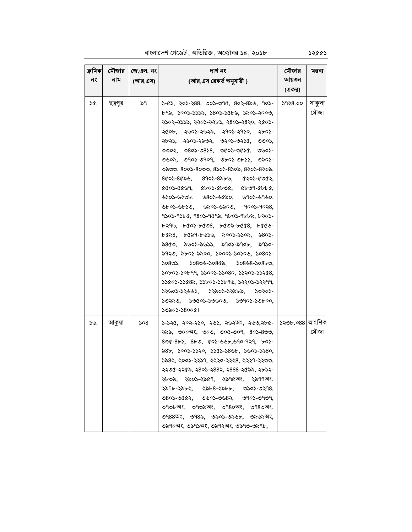বাংলাদেশ গেজেট , অতিরিক্ত , অক্টোবর ১৪ , ২০১৮

| ক্ৰমিকা<br>নং | মৌজার<br>নাম | জে.এল. নং <br>(আর.এস) | দাগ নং<br>(আর.এস রেকর্ড অনুযায়ী )                                                                                                                                                                                                                                                                                                                                                                                                                                                                                                                                                                                                                                                                                                                                                                                                                                                                                                                                                                                                                                                                                                                                                                                                                                                                                                                                                                                                                                                                                                                                                                                                                                                                                                                                                                                                                                                                                                                                                                                                                                                                                                                                      | মৌজার<br>আয়তন<br>(একর) | মন্তব্য         |
|---------------|--------------|-----------------------|-------------------------------------------------------------------------------------------------------------------------------------------------------------------------------------------------------------------------------------------------------------------------------------------------------------------------------------------------------------------------------------------------------------------------------------------------------------------------------------------------------------------------------------------------------------------------------------------------------------------------------------------------------------------------------------------------------------------------------------------------------------------------------------------------------------------------------------------------------------------------------------------------------------------------------------------------------------------------------------------------------------------------------------------------------------------------------------------------------------------------------------------------------------------------------------------------------------------------------------------------------------------------------------------------------------------------------------------------------------------------------------------------------------------------------------------------------------------------------------------------------------------------------------------------------------------------------------------------------------------------------------------------------------------------------------------------------------------------------------------------------------------------------------------------------------------------------------------------------------------------------------------------------------------------------------------------------------------------------------------------------------------------------------------------------------------------------------------------------------------------------------------------------------------------|-------------------------|-----------------|
| ১৫.           | ছত্রপুর      | ৯৭                    | ১-৫১. ২০১-২৪৪. ৩০১-৩৭৫. ৪০২-৪৯৬. ৭০১-<br>৮৭৯, ১০০১-১১১৯, ১৪০১-১৫৮৯, ১৯০১-২০০৩,<br>২১০২-২১১৯, ২২০১-২২৮১, ২৪০১-২৪২০, ২৫০১-<br>২৫০৮, ২৬০১-২৬২৯, ২৭০১-২৭১০, ২৮০১-<br>২৮২১, ২৯০১-২৯৩২, ৩২০১-৩২১৫, ৩৩০১,<br>$0000, 0800 - 0808, 0000 - 0000, 0000 -$<br>৩৬০৯, ৩৭০১-৩৭০৭, ৩৮০১-৩৮১১, ৩৯০১-<br>৩৯৩৩, ৪০০১-৪০৩৩, ৪১০১-৪১০৯, ৪২০১-৪২০৯,<br>$800$ ১-80৯৬, 890১-8৯৮৬, 0২০১-0৩৫২,<br>$\alpha$ . $\alpha$ . $\alpha$ , $\alpha$ . $\alpha$ . $\alpha$ . $\alpha$ . $\alpha$ . $\alpha$ . $\alpha$ . $\alpha$ . $\alpha$ . $\alpha$ . $\alpha$ . $\alpha$ . $\alpha$ . $\alpha$ . $\alpha$ . $\alpha$ . $\alpha$ . $\alpha$ . $\alpha$ . $\alpha$ . $\alpha$ . $\alpha$ . $\alpha$ . $\alpha$ . $\alpha$ . $\alpha$ . $\alpha$ . $\alpha$ . $\alpha$ . $\alpha$ . $\alpha$ . $\alpha$ . $\alpha$ . $\alpha$ .<br>$600 - 620$ b, $6800 - 6600$ , $6900 - 6900$<br>$\bigtriangledown$ $\bigtriangledown$ $\bigtriangledown$ $\bigtriangledown$ $\bigtriangledown$ $\bigtriangledown$ $\bigtriangledown$ $\bigtriangledown$ $\bigtriangledown$ $\bigtriangledown$ $\bigtriangledown$ $\bigtriangledown$ $\bigtriangledown$ $\bigtriangledown$ $\bigtriangledown$ $\bigtriangledown$ $\bigtriangledown$ $\bigtriangledown$ $\bigtriangledown$ $\bigtriangledown$ $\bigtriangleup$ $\bigtriangledown$ $\bigtriangleup$ $\bigtriangleup$ $\bigtriangleup$ $\bigtriangleup$ $\bigtriangleup$ $\bigtriangleup$ $\bigtriangle$<br>৭১০১-৭১৮৫, ৭৪০১-৭৫৭৯, ৭৮০১-৭৮৮৯, ৮২০১-<br>$b390, b603-b608, b603-b668, b660-$<br>$b$ $\alpha$ , $\beta$ , $b$ , $\alpha$ , $\beta$ , $\alpha$ , $\beta$ , $\alpha$ , $\beta$ , $\beta$ , $\beta$ , $\beta$ , $\beta$ , $\beta$ , $\beta$ , $\beta$ , $\beta$ , $\beta$ , $\beta$ , $\beta$ , $\beta$ , $\beta$ , $\beta$ , $\beta$ , $\beta$ , $\beta$ , $\beta$ , $\beta$ , $\beta$ , $\beta$ , $\beta$ , $\beta$ , $\beta$ , $\beta$ , $\beta$ , $\beta$ , $\$<br>৯৪৫৩, ৯৬০১-৯৬১১, ৯৭০১-৯৭০৮, ৯৭১০-<br>৯৭২৩, ৯৮০১-৯৯০০, ১০০০১-১০১০৬, ১০৪০১-<br>১০৪৩১, ১০৪৩৬-১০৪৫৯, ১০৪৬৪-১০৪৮৩,<br>১০৮০১-১০৮৭৭, ১১০০১-১১০৪০, ১১২০১-১১২৫৪,<br>১১৫০১-১১৫৪৯, ১১৮০১-১১৮৭৬, ১২২০১-১২২৭৭,<br>১২৬০১-১২৬৬১, ১২৯০১-১২৯৮৯, ১৩২০১-<br>১৩২৯৩, ১৩৫০১-১৩৬০৩, ১৩৭০১-১৩৮০০,<br>১৩৯০১-১৪০০৫। | ১৭২৪.০০                 | সাকুল্য<br>মৌজা |
| ১৬.           | আকুয়া       | ১০৪                   | ১-১২৫, ২০২-২১০, ২৬১, ২৬২অং, ২৬৩,২৮৫-  ১২৩৮.০৪৪ আংশিক<br>২৯৯, ৩০০অং, ৩০৩, ৩০৫-৩০৭, ৪০১-৪৩৩,<br>$800 - 8b$ , $8b0, 00$ , $400 - 600$ , $90 - 929, b0$<br>৯৪৮, ১০০১-১১২০, ১১৫১-১৪৬৮, ১৬০১-১৯৪০,<br>১৯৪২, ২০০১-২২১৭, ২২২০-২২২৪, ২২২৭-২২৩৩,<br>২২৩৫-২২৫৯, ২৪০১-২৪৪২, ২৪৪৪-২৫৯৯, ২৮১২-<br>২৮৩৯, ২৯০১-২৯৫৭, ২৯৭৫অং, ২৯৭৭অং,<br>২৯৭৮-২৯৮২, ২৯৮৪-২৯৮৮, ৩১০১-৩২৭৪,<br>$080$ 2-0662, 0602-0682, 0902-0909,<br>৩৭৩৮অং, ৩৭৩৯অং, ৩৭৪০অং, ৩৭৪৩অং,<br>৩৭৪৪অং, ৩৭৪৯, ৩৯০১-৩৯৬৮, ৩৯৬৯অং,<br>৩৯৭০অং, ৩৯৭১অং, ৩৯৭২অং, ৩৯৭৩-৩৯৭৮,                                                                                                                                                                                                                                                                                                                                                                                                                                                                                                                                                                                                                                                                                                                                                                                                                                                                                                                                                                                                                                                                                                                                                                                                                                                                                                                                                                                                                                                                                                                                                                                                                                                            |                         | মৌজা            |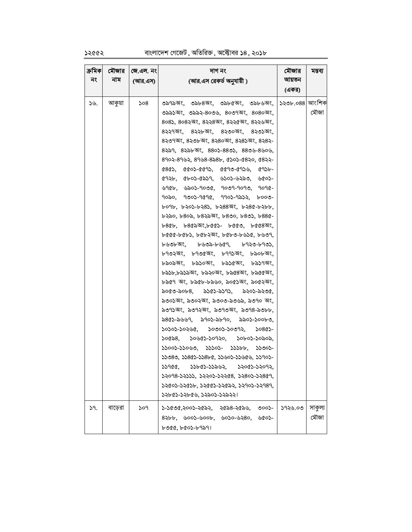# $32662$  বাংলাদেশ গেজেট, অতিরিক্ত, অক্টোবর  $38, 203b$

| ক্ৰমিকা | মৌজার   | জে.এল. নং | দাগ নং                                                                                                                                                                                                                                                                                                                                                                                                                                                                                                                                                                                                                                                                                                                                                                                                                                                                                                                                                                                                                                                                                                                                                                                                                                                                                                                                                                                                                                                                                                                                                                                                                              | মৌজার   | মন্তব্য         |
|---------|---------|-----------|-------------------------------------------------------------------------------------------------------------------------------------------------------------------------------------------------------------------------------------------------------------------------------------------------------------------------------------------------------------------------------------------------------------------------------------------------------------------------------------------------------------------------------------------------------------------------------------------------------------------------------------------------------------------------------------------------------------------------------------------------------------------------------------------------------------------------------------------------------------------------------------------------------------------------------------------------------------------------------------------------------------------------------------------------------------------------------------------------------------------------------------------------------------------------------------------------------------------------------------------------------------------------------------------------------------------------------------------------------------------------------------------------------------------------------------------------------------------------------------------------------------------------------------------------------------------------------------------------------------------------------------|---------|-----------------|
| নং      | নাম     | (আর.এস)   | (আর.এস রেকর্ড অনুযায়ী)                                                                                                                                                                                                                                                                                                                                                                                                                                                                                                                                                                                                                                                                                                                                                                                                                                                                                                                                                                                                                                                                                                                                                                                                                                                                                                                                                                                                                                                                                                                                                                                                             | আয়তন   |                 |
|         |         |           |                                                                                                                                                                                                                                                                                                                                                                                                                                                                                                                                                                                                                                                                                                                                                                                                                                                                                                                                                                                                                                                                                                                                                                                                                                                                                                                                                                                                                                                                                                                                                                                                                                     | (একর)   |                 |
| ১৬.     | আকুয়া  | ১০৪       | ৩৯৭৯অং, ৩৯৮৪অং, ৩৯৮৫অং, ৩৯৮৬অং, ১২৩৮.০৪৪ আংশিক<br>৩৯৯১অং, ৩৯৯২-৪০৩৬, ৪০৩৭অং, ৪০৪০অং,<br>৪০৪১, ৪০৪২অং, ৪২২৪অং, ৪২২৫অং, ৪২২৬অং,<br>৪২২৭অং, ৪২২৮অং, ৪২৩০অং, ৪২৩১অং,<br>৪২৩৭অং, ৪২৩৮অং, ৪২৪০অং, ৪২৪১অং, ৪২৪২-<br>$8$ ২৯৭, $8$ ২৯৮অং, $88$ ০১- $88$ ৩১, $88$ ৩৬- $8$ ৬০৬,<br>$8902 - 8902, 8908 - 8585, 6502 - 6820, 6822 -$<br>$(800, 0000 - 0010, 0010 - 0100, 0100 - 0000)$<br>$(125, 1005 - 1005)$ 6305-6220, 6105-<br>$\bigcup_{i=1}^{n}$ $\bigcup_{i=1}^{n}$ $\bigcup_{i=1}^{n}$ $\bigcup_{i=1}^{n}$ $\bigcup_{i=1}^{n}$ $\bigcup_{i=1}^{n}$ $\bigcup_{i=1}^{n}$ $\bigcup_{i=1}^{n}$ $\bigcup_{i=1}^{n}$ $\bigcup_{i=1}^{n}$ $\bigcup_{i=1}^{n}$ $\bigcup_{i=1}^{n}$ $\bigcup_{i=1}^{n}$ $\bigcup_{i=1}^{n}$ $\bigcup_{i=1}^{n}$ $\bigcup_{i=1}^{n$<br>৭০৯০, ৭৩০১-৭৫৭৫, ৭৭০১-৭৯১২, ৮০০৩-<br>৮০৭৮, ৮২০১-৮২৪১, ৮২৪৪অং, ৮২৪৫-৮২৮৮,<br>৮২৯০, ৮৪০৯, ৮৪২৯অং, ৮৪৩০, ৮৪৩১, ৮৪৪৫-<br>৮৪৫৮, ৮৪৫৯অং,৮৫৫১- ৮৫৫৩, ৮৫৫৪অং,<br>৮৫৫৫-৮৫৮১, ৮৫৮২অং, ৮৫৮৩-৮৬১৫, ৮৬৩৭,<br>$b$ ৬৩৮অং, ৮৬৩৯-৮৬৫৭, ৮৭২৩-৮৭৩১,<br>৮৭৩২অং, ৮৭৩৫অং, ৮৭৭১অং, ৮৯০৮অং,<br>৮৯০৯অং, ৮৯১০অং, ৮৯১৫অং, ৮৯১৭অং,<br>৮৯১৮,৮৯১৯অং, ৮৯২০অং, ৮৯৫৪অং, ৮৯৫৫অং,<br>৮৯৫৭ অং, ৮৯৫৮-৮৯৬০, ৯০৫১অং, ৯০৫২অং,<br>৯০৫৩-৯০৮৪, ৯১৫১-৯১৭১, ৯২০১-৯২৩৫,<br>৯৩০১অং, ৯৩০২অং, ৯৩০৩-৯৩৬৯, ৯৩৭০ অং,<br>৯৩৭১অং, ৯৩৭২অং, ৯৩৭৩অং, ৯৩৭৪-৯৩৮৮,<br>৯৪৫১-৯৬৬৭, ৯৭০১-৯৮৭০, ৯৯০১-১০০৮৩,<br>$50505 - 50506$ , $50005 - 50092$ , $50865 -$<br>১০৫৯৪, ১০৬৫১-১০৭২০, ১০৮০১-১০৯০৯,<br>১১০০১-১১০৬৩, ১১১০১- ১১১৮৮, ১১৩০১-<br>১১৩৪৩, ১১৪৫১-১১৪৮৫, ১১৬০১-১১৬৫৬, ১১৭০১-<br>১১৭৫৫,<br>১১৮৫১-১১৯৬২,<br>১২০৫১-১২০৭২.<br>১২০৭৪-১২১১১, ১২২০১-১২২৫৪, ১২৪০১-১২৪৫৭,<br>১২৫০১-১২৫১৮, ১২৫৫১-১২৫৯২, ১২৭০১-১২৭৪৭,<br>১২৮৫১-১২৮৫৬, ১২৯০১-১২৯২২। |         | মৌজা            |
| 59.     | বাড়েরা | ১০৭       | ১-১৫৩৫,২০০১-২৫৯২,<br>২৫৯৪-২৫৯৬,<br>৩০০১-<br>$8$ ) $600$ $-600$ $-600$ $-600$ $-630$<br>৬৫০১-<br>৮৩৫৫, ৮৫০১-৮৭৯৭।                                                                                                                                                                                                                                                                                                                                                                                                                                                                                                                                                                                                                                                                                                                                                                                                                                                                                                                                                                                                                                                                                                                                                                                                                                                                                                                                                                                                                                                                                                                    | ১৭২৬.০৩ | সাকুল্য<br>মৌজা |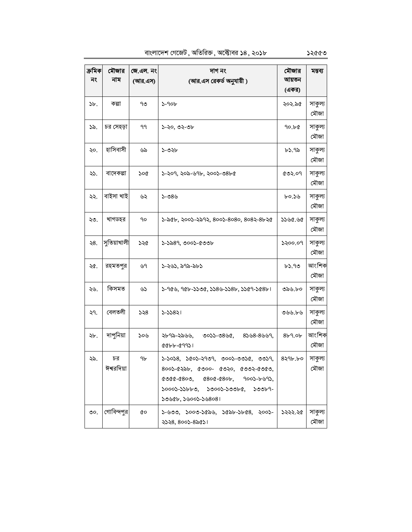বাংলাদেশ গেজেট, অতিরিক্ত, অক্টোবর ১৪, ২০১৮

| ক্ৰমিক<br>নং | মৌজার<br>নাম     | জে.এল. নং<br>(আর.এস) | দাগ নং<br>(আর.এস রেকর্ড অনুযায়ী )                                                                                                                                                                                  | মৌজার<br>আয়তন<br>(একর) | মন্তব্য         |
|--------------|------------------|----------------------|---------------------------------------------------------------------------------------------------------------------------------------------------------------------------------------------------------------------|-------------------------|-----------------|
| ১৮.          | কল্পা            | ৭৩                   | $5 - 90b$                                                                                                                                                                                                           | ২০২.৯৫                  | সাকুল্য<br>মৌজা |
| ১৯.          | চর সেহড়া        | 99                   | ১-২০, ৩২-৩৮                                                                                                                                                                                                         | 90.b¢                   | সাকুল্য<br>মৌজা |
| ২০.          | হাসিবাসী         | ৬৯                   | ১-৩২৮                                                                                                                                                                                                               | ৮১.৭৯                   | সাকুল্য<br>মৌজা |
| ২১.          | বাদেকল্পা        | ১০৫                  | ১-২০৭, ২০৯-৬৭৮, ২০০১-৩৪৮৫                                                                                                                                                                                           | 0.509                   | সাকুল্য<br>মৌজা |
| ২২.          | বাইসা খাই        | ৬২                   | $5 - 08$                                                                                                                                                                                                            | ৮০.১৬                   | সাকুল্য<br>মৌজা |
| ২৩.          | খাগডহর           | 90                   | ১-৯৫৮, ২০০১-২৯৭২, ৪০০১-৪০৪০, ৪০৪২-৪৮২৫                                                                                                                                                                              | ১১৬৫.৬৫                 | সাকুল্য<br>মৌজা |
| ২8.          | সুতিয়াখালী      | ১২৫                  | ১-১৯৪৭, ৩০০১-৫৩৩৮                                                                                                                                                                                                   | ১২০০.০৭                 | সাকুল্য<br>মৌজা |
| ২৫.          | রহমতপুর          | ৬৭                   | ১-২৬১, ৯৭৯-৯৮১                                                                                                                                                                                                      | ৮১.৭৩                   | আংশিক<br>মৌজা   |
| ২৬.          | কিসমত            | ৬১                   | $5 - 96$ ৬, 96৮-১১৩৫, ১১৪৬-১১৪৮, ১১৫9-১৫৪৮।                                                                                                                                                                         | ৩৯৬.৮০                  | সাকুল্য<br>মৌজা |
| ২৭.          | বেলতলী           | 558                  | ১-১১৪২।                                                                                                                                                                                                             | ৩৬৬.৮৬                  | সাকুল্য<br>মৌজা |
| ২৮.          | দাপুনিয়া        | ১০৬                  | ২৮৭৯-২৯৬৬,<br>$8558 - 8559,$<br>৩০১১-৩৪৬৫,<br>8866-69921                                                                                                                                                            | 8b9.0b                  | আংশিক<br>মৌজা   |
| ২৯.          | চর<br>ঈশ্বরদিয়া | ঀ৮                   | $5 - 5058$ , $5005 - 5909$ , 0005-005C,<br>৩৩১৭,<br>$800$ ১-৫২৯৮, ৫৩০০- ৫৩২০, ৫৩৩২-৫৩৫৩,<br>$0000 - 0000$ , $0000 - 0000$ , $0000 - 0000$ ,<br>$50005 - 55600$ , $50005 - 50060$ , $50069 -$<br>১৩৬৫৮, ১৬০০১-১৬৪০৪। | $8$ ২৭৮.৮০              | সাকুল্য<br>মৌজা |
| ৩ $\circ$ .  | গোবিন্দপুর       | QΟ                   | $5 - 600$ , $5000 - 5650$ , $5650 - 5068$ , $5005 - 5000$<br>২১২৪, ৪০০১-৪৯৫১।                                                                                                                                       | ১২২২.২৫                 | সাকুল্য<br>মৌজা |